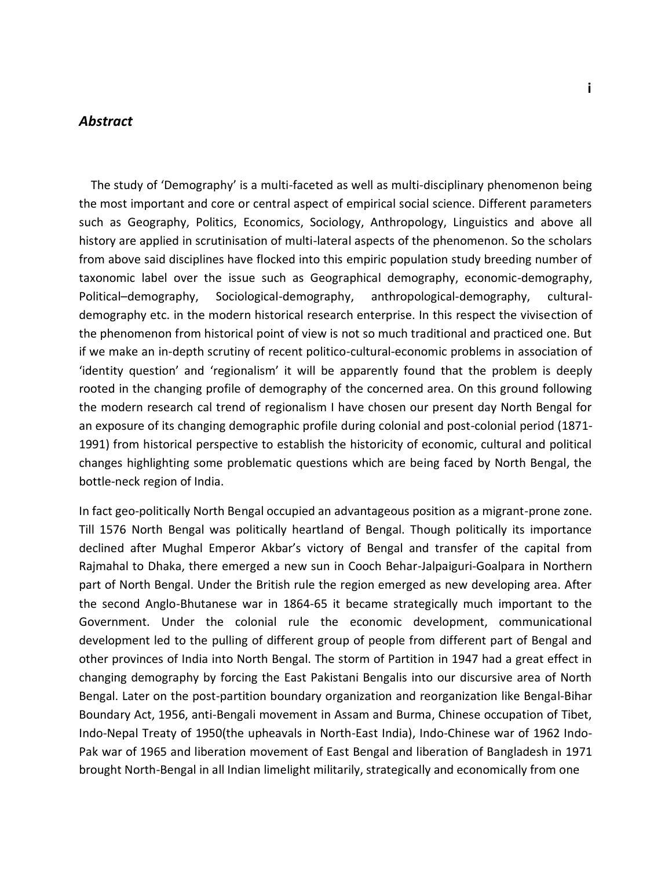## *Abstract*

 The study of 'Demography' is a multi-faceted as well as multi-disciplinary phenomenon being the most important and core or central aspect of empirical social science. Different parameters such as Geography, Politics, Economics, Sociology, Anthropology, Linguistics and above all history are applied in scrutinisation of multi-lateral aspects of the phenomenon. So the scholars from above said disciplines have flocked into this empiric population study breeding number of taxonomic label over the issue such as Geographical demography, economic-demography, Political–demography, Sociological-demography, anthropological-demography, culturaldemography etc. in the modern historical research enterprise. In this respect the vivisection of the phenomenon from historical point of view is not so much traditional and practiced one. But if we make an in-depth scrutiny of recent politico-cultural-economic problems in association of 'identity question' and 'regionalism' it will be apparently found that the problem is deeply rooted in the changing profile of demography of the concerned area. On this ground following the modern research cal trend of regionalism I have chosen our present day North Bengal for an exposure of its changing demographic profile during colonial and post-colonial period (1871- 1991) from historical perspective to establish the historicity of economic, cultural and political changes highlighting some problematic questions which are being faced by North Bengal, the bottle-neck region of India.

In fact geo-politically North Bengal occupied an advantageous position as a migrant-prone zone. Till 1576 North Bengal was politically heartland of Bengal. Though politically its importance declined after Mughal Emperor Akbar's victory of Bengal and transfer of the capital from Rajmahal to Dhaka, there emerged a new sun in Cooch Behar-Jalpaiguri-Goalpara in Northern part of North Bengal. Under the British rule the region emerged as new developing area. After the second Anglo-Bhutanese war in 1864-65 it became strategically much important to the Government. Under the colonial rule the economic development, communicational development led to the pulling of different group of people from different part of Bengal and other provinces of India into North Bengal. The storm of Partition in 1947 had a great effect in changing demography by forcing the East Pakistani Bengalis into our discursive area of North Bengal. Later on the post-partition boundary organization and reorganization like Bengal-Bihar Boundary Act, 1956, anti-Bengali movement in Assam and Burma, Chinese occupation of Tibet, Indo-Nepal Treaty of 1950(the upheavals in North-East India), Indo-Chinese war of 1962 Indo-Pak war of 1965 and liberation movement of East Bengal and liberation of Bangladesh in 1971 brought North-Bengal in all Indian limelight militarily, strategically and economically from one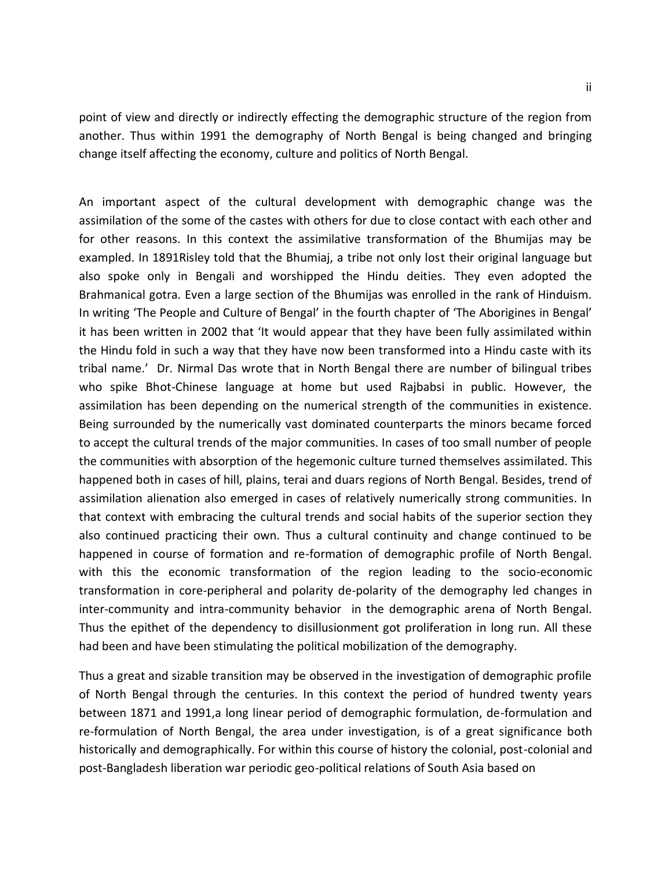point of view and directly or indirectly effecting the demographic structure of the region from another. Thus within 1991 the demography of North Bengal is being changed and bringing change itself affecting the economy, culture and politics of North Bengal.

An important aspect of the cultural development with demographic change was the assimilation of the some of the castes with others for due to close contact with each other and for other reasons. In this context the assimilative transformation of the Bhumijas may be exampled. In 1891Risley told that the Bhumiaj, a tribe not only lost their original language but also spoke only in Bengali and worshipped the Hindu deities. They even adopted the Brahmanical gotra. Even a large section of the Bhumijas was enrolled in the rank of Hinduism. In writing 'The People and Culture of Bengal' in the fourth chapter of 'The Aborigines in Bengal' it has been written in 2002 that 'It would appear that they have been fully assimilated within the Hindu fold in such a way that they have now been transformed into a Hindu caste with its tribal name.' Dr. Nirmal Das wrote that in North Bengal there are number of bilingual tribes who spike Bhot-Chinese language at home but used Rajbabsi in public. However, the assimilation has been depending on the numerical strength of the communities in existence. Being surrounded by the numerically vast dominated counterparts the minors became forced to accept the cultural trends of the major communities. In cases of too small number of people the communities with absorption of the hegemonic culture turned themselves assimilated. This happened both in cases of hill, plains, terai and duars regions of North Bengal. Besides, trend of assimilation alienation also emerged in cases of relatively numerically strong communities. In that context with embracing the cultural trends and social habits of the superior section they also continued practicing their own. Thus a cultural continuity and change continued to be happened in course of formation and re-formation of demographic profile of North Bengal. with this the economic transformation of the region leading to the socio-economic transformation in core-peripheral and polarity de-polarity of the demography led changes in inter-community and intra-community behavior in the demographic arena of North Bengal. Thus the epithet of the dependency to disillusionment got proliferation in long run. All these had been and have been stimulating the political mobilization of the demography.

Thus a great and sizable transition may be observed in the investigation of demographic profile of North Bengal through the centuries. In this context the period of hundred twenty years between 1871 and 1991,a long linear period of demographic formulation, de-formulation and re-formulation of North Bengal, the area under investigation, is of a great significance both historically and demographically. For within this course of history the colonial, post-colonial and post-Bangladesh liberation war periodic geo-political relations of South Asia based on